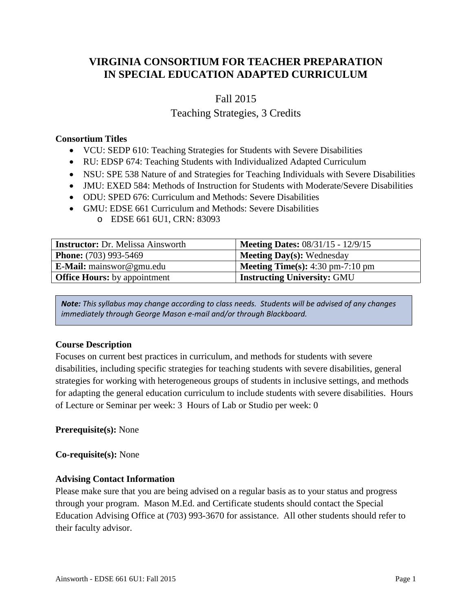# **VIRGINIA CONSORTIUM FOR TEACHER PREPARATION IN SPECIAL EDUCATION ADAPTED CURRICULUM**

# Fall 2015

# Teaching Strategies, 3 Credits

### **Consortium Titles**

- VCU: SEDP 610: Teaching Strategies for Students with Severe Disabilities
- RU: EDSP 674: Teaching Students with Individualized Adapted Curriculum
- NSU: SPE 538 Nature of and Strategies for Teaching Individuals with Severe Disabilities
- JMU: EXED 584: Methods of Instruction for Students with Moderate/Severe Disabilities
- ODU: SPED 676: Curriculum and Methods: Severe Disabilities
- GMU: EDSE 661 Curriculum and Methods: Severe Disabilities
	- o EDSE 661 6U1, CRN: 83093

| <b>Instructor:</b> Dr. Melissa Ainsworth | <b>Meeting Dates: 08/31/15 - 12/9/15</b>                  |
|------------------------------------------|-----------------------------------------------------------|
| <b>Phone:</b> (703) 993-5469             | <b>Meeting Day(s): Wednesday</b>                          |
| <b>E-Mail:</b> mainswor@gmu.edu          | <b>Meeting Time(s):</b> $4:30 \text{ pm}-7:10 \text{ pm}$ |
| <b>Office Hours:</b> by appointment      | <b>Instructing University: GMU</b>                        |

*Note: This syllabus may change according to class needs. Students will be advised of any changes immediately through George Mason e-mail and/or through Blackboard.*

# **Course Description**

Focuses on current best practices in curriculum, and methods for students with severe disabilities, including specific strategies for teaching students with severe disabilities, general strategies for working with heterogeneous groups of students in inclusive settings, and methods for adapting the general education curriculum to include students with severe disabilities. Hours of Lecture or Seminar per week: 3 Hours of Lab or Studio per week: 0

#### **Prerequisite(s):** None

**Co-requisite(s):** None

# **Advising Contact Information**

Please make sure that you are being advised on a regular basis as to your status and progress through your program. Mason M.Ed. and Certificate students should contact the Special Education Advising Office at (703) 993-3670 for assistance. All other students should refer to their faculty advisor.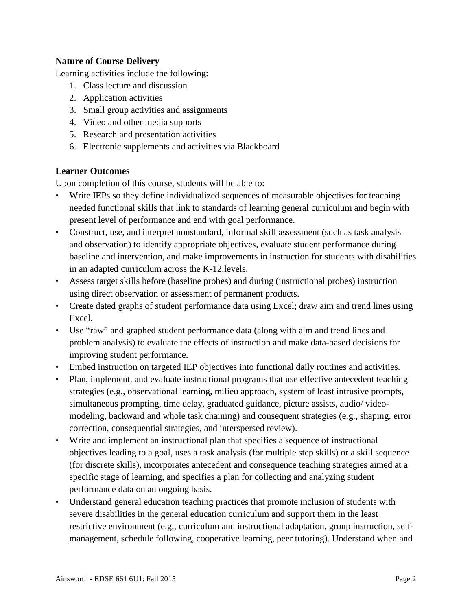# **Nature of Course Delivery**

Learning activities include the following:

- 1. Class lecture and discussion
- 2. Application activities
- 3. Small group activities and assignments
- 4. Video and other media supports
- 5. Research and presentation activities
- 6. Electronic supplements and activities via Blackboard

# **Learner Outcomes**

Upon completion of this course, students will be able to:

- Write IEPs so they define individualized sequences of measurable objectives for teaching needed functional skills that link to standards of learning general curriculum and begin with present level of performance and end with goal performance.
- Construct, use, and interpret nonstandard, informal skill assessment (such as task analysis and observation) to identify appropriate objectives, evaluate student performance during baseline and intervention, and make improvements in instruction for students with disabilities in an adapted curriculum across the K-12.levels.
- Assess target skills before (baseline probes) and during (instructional probes) instruction using direct observation or assessment of permanent products.
- Create dated graphs of student performance data using Excel; draw aim and trend lines using Excel.
- Use "raw" and graphed student performance data (along with aim and trend lines and problem analysis) to evaluate the effects of instruction and make data-based decisions for improving student performance.
- Embed instruction on targeted IEP objectives into functional daily routines and activities.
- Plan, implement, and evaluate instructional programs that use effective antecedent teaching strategies (e.g., observational learning, milieu approach, system of least intrusive prompts, simultaneous prompting, time delay, graduated guidance, picture assists, audio/ videomodeling, backward and whole task chaining) and consequent strategies (e.g., shaping, error correction, consequential strategies, and interspersed review).
- Write and implement an instructional plan that specifies a sequence of instructional objectives leading to a goal, uses a task analysis (for multiple step skills) or a skill sequence (for discrete skills), incorporates antecedent and consequence teaching strategies aimed at a specific stage of learning, and specifies a plan for collecting and analyzing student performance data on an ongoing basis.
- Understand general education teaching practices that promote inclusion of students with severe disabilities in the general education curriculum and support them in the least restrictive environment (e.g., curriculum and instructional adaptation, group instruction, selfmanagement, schedule following, cooperative learning, peer tutoring). Understand when and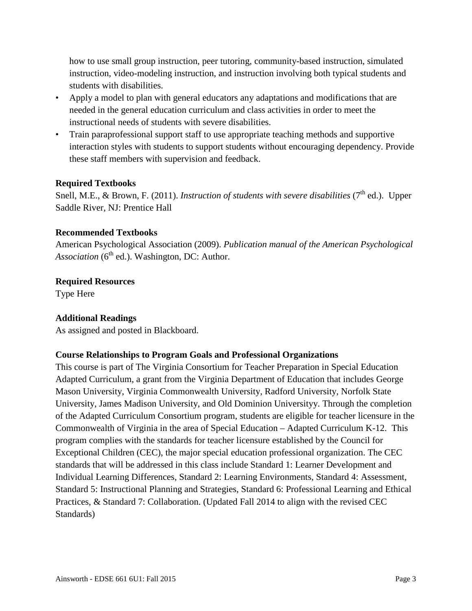how to use small group instruction, peer tutoring, community-based instruction, simulated instruction, video-modeling instruction, and instruction involving both typical students and students with disabilities.

- Apply a model to plan with general educators any adaptations and modifications that are needed in the general education curriculum and class activities in order to meet the instructional needs of students with severe disabilities.
- Train paraprofessional support staff to use appropriate teaching methods and supportive interaction styles with students to support students without encouraging dependency. Provide these staff members with supervision and feedback.

# **Required Textbooks**

Snell, M.E., & Brown, F. (2011). *Instruction of students with severe disabilities* (7<sup>th</sup> ed.). Upper Saddle River, NJ: Prentice Hall

## **Recommended Textbooks**

American Psychological Association (2009). *Publication manual of the American Psychological Association* (6<sup>th</sup> ed.). Washington, DC: Author.

## **Required Resources**

Type Here

# **Additional Readings**

As assigned and posted in Blackboard.

# **Course Relationships to Program Goals and Professional Organizations**

This course is part of The Virginia Consortium for Teacher Preparation in Special Education Adapted Curriculum, a grant from the Virginia Department of Education that includes George Mason University, Virginia Commonwealth University, Radford University, Norfolk State University, James Madison University, and Old Dominion Universityy. Through the completion of the Adapted Curriculum Consortium program, students are eligible for teacher licensure in the Commonwealth of Virginia in the area of Special Education – Adapted Curriculum K-12. This program complies with the standards for teacher licensure established by the Council for Exceptional Children (CEC), the major special education professional organization. The CEC standards that will be addressed in this class include Standard 1: Learner Development and Individual Learning Differences, Standard 2: Learning Environments, Standard 4: Assessment, Standard 5: Instructional Planning and Strategies, Standard 6: Professional Learning and Ethical Practices, & Standard 7: Collaboration. (Updated Fall 2014 to align with the revised CEC Standards)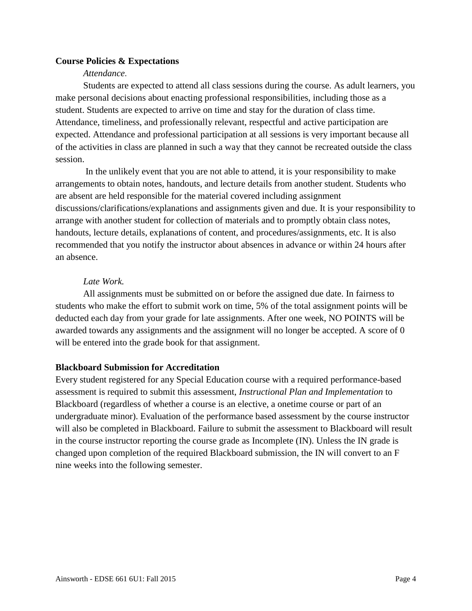## **Course Policies & Expectations**

#### *Attendance*.

Students are expected to attend all class sessions during the course. As adult learners, you make personal decisions about enacting professional responsibilities, including those as a student. Students are expected to arrive on time and stay for the duration of class time. Attendance, timeliness, and professionally relevant, respectful and active participation are expected. Attendance and professional participation at all sessions is very important because all of the activities in class are planned in such a way that they cannot be recreated outside the class session.

In the unlikely event that you are not able to attend, it is your responsibility to make arrangements to obtain notes, handouts, and lecture details from another student. Students who are absent are held responsible for the material covered including assignment discussions/clarifications/explanations and assignments given and due. It is your responsibility to arrange with another student for collection of materials and to promptly obtain class notes, handouts, lecture details, explanations of content, and procedures/assignments, etc. It is also recommended that you notify the instructor about absences in advance or within 24 hours after an absence.

#### *Late Work.*

All assignments must be submitted on or before the assigned due date. In fairness to students who make the effort to submit work on time, 5% of the total assignment points will be deducted each day from your grade for late assignments. After one week, NO POINTS will be awarded towards any assignments and the assignment will no longer be accepted. A score of 0 will be entered into the grade book for that assignment.

#### **Blackboard Submission for Accreditation**

Every student registered for any Special Education course with a required performance-based assessment is required to submit this assessment, *Instructional Plan and Implementation* to Blackboard (regardless of whether a course is an elective, a onetime course or part of an undergraduate minor). Evaluation of the performance based assessment by the course instructor will also be completed in Blackboard. Failure to submit the assessment to Blackboard will result in the course instructor reporting the course grade as Incomplete (IN). Unless the IN grade is changed upon completion of the required Blackboard submission, the IN will convert to an F nine weeks into the following semester.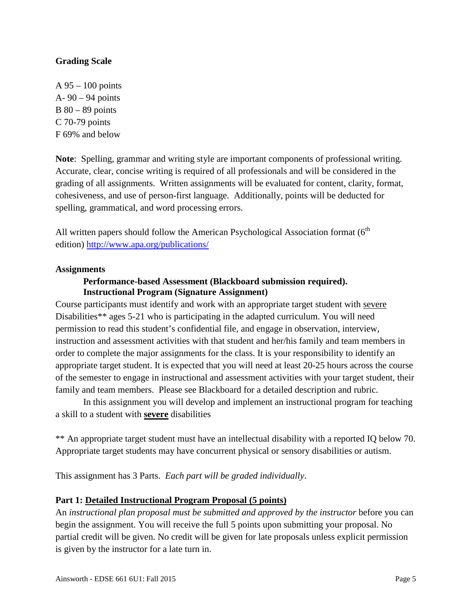## **Grading Scale**

A 95 – 100 points A- 90 – 94 points B 80 – 89 points C 70-79 points F 69% and below

**Note**: Spelling, grammar and writing style are important components of professional writing. Accurate, clear, concise writing is required of all professionals and will be considered in the grading of all assignments. Written assignments will be evaluated for content, clarity, format, cohesiveness, and use of person-first language. Additionally, points will be deducted for spelling, grammatical, and word processing errors.

All written papers should follow the American Psychological Association format (6<sup>th</sup> edition)<http://www.apa.org/publications/>

#### **Assignments**

#### **Performance-based Assessment (Blackboard submission required). Instructional Program (Signature Assignment)**

Course participants must identify and work with an appropriate target student with severe Disabilities\*\* ages 5-21 who is participating in the adapted curriculum. You will need permission to read this student's confidential file, and engage in observation, interview, instruction and assessment activities with that student and her/his family and team members in order to complete the major assignments for the class. It is your responsibility to identify an appropriate target student. It is expected that you will need at least 20-25 hours across the course of the semester to engage in instructional and assessment activities with your target student, their family and team members. Please see Blackboard for a detailed description and rubric.

In this assignment you will develop and implement an instructional program for teaching a skill to a student with **severe** disabilities

\*\* An appropriate target student must have an intellectual disability with a reported IQ below 70. Appropriate target students may have concurrent physical or sensory disabilities or autism.

This assignment has 3 Parts. *Each part will be graded individually*.

#### **Part 1: Detailed Instructional Program Proposal (5 points)**

An *instructional plan proposal must be submitted and approved by the instructor* before you can begin the assignment. You will receive the full 5 points upon submitting your proposal. No partial credit will be given. No credit will be given for late proposals unless explicit permission is given by the instructor for a late turn in.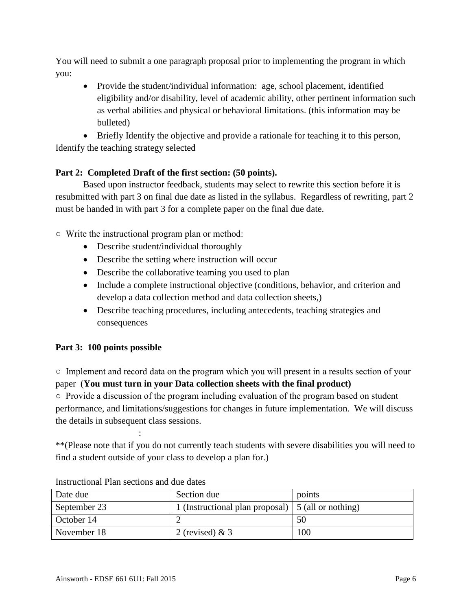You will need to submit a one paragraph proposal prior to implementing the program in which you:

• Provide the student/individual information: age, school placement, identified eligibility and/or disability, level of academic ability, other pertinent information such as verbal abilities and physical or behavioral limitations. (this information may be bulleted)

• Briefly Identify the objective and provide a rationale for teaching it to this person, Identify the teaching strategy selected

# **Part 2: Completed Draft of the first section: (50 points).**

Based upon instructor feedback, students may select to rewrite this section before it is resubmitted with part 3 on final due date as listed in the syllabus. Regardless of rewriting, part 2 must be handed in with part 3 for a complete paper on the final due date.

○ Write the instructional program plan or method:

- Describe student/individual thoroughly
- Describe the setting where instruction will occur
- Describe the collaborative teaming you used to plan
- Include a complete instructional objective (conditions, behavior, and criterion and develop a data collection method and data collection sheets,)
- Describe teaching procedures, including antecedents, teaching strategies and consequences

# **Part 3: 100 points possible**

○ Implement and record data on the program which you will present in a results section of your paper (**You must turn in your Data collection sheets with the final product)**

○ Provide a discussion of the program including evaluation of the program based on student performance, and limitations/suggestions for changes in future implementation. We will discuss the details in subsequent class sessions.

\*\*(Please note that if you do not currently teach students with severe disabilities you will need to find a student outside of your class to develop a plan for.)

| Date due     | Section due                                               | points |
|--------------|-----------------------------------------------------------|--------|
| September 23 | 1 (Instructional plan proposal) $\mid$ 5 (all or nothing) |        |
| October 14   |                                                           | 50     |
| November 18  | 2 (revised) & $3$                                         | 100    |

Instructional Plan sections and due dates

: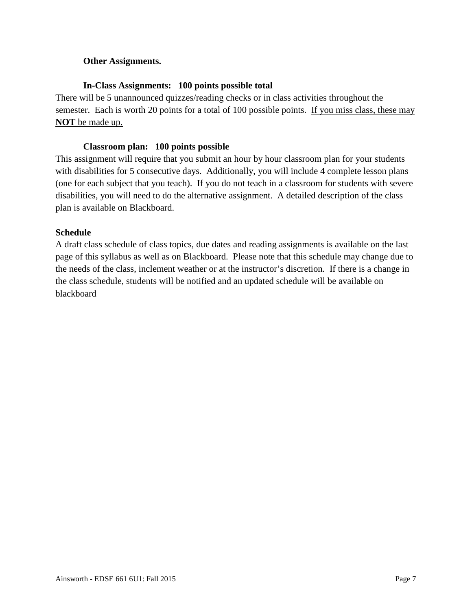## **Other Assignments.**

## **In-Class Assignments: 100 points possible total**

There will be 5 unannounced quizzes/reading checks or in class activities throughout the semester. Each is worth 20 points for a total of 100 possible points. If you miss class, these may **NOT** be made up.

### **Classroom plan: 100 points possible**

This assignment will require that you submit an hour by hour classroom plan for your students with disabilities for 5 consecutive days. Additionally, you will include 4 complete lesson plans (one for each subject that you teach). If you do not teach in a classroom for students with severe disabilities, you will need to do the alternative assignment. A detailed description of the class plan is available on Blackboard.

## **Schedule**

A draft class schedule of class topics, due dates and reading assignments is available on the last page of this syllabus as well as on Blackboard. Please note that this schedule may change due to the needs of the class, inclement weather or at the instructor's discretion. If there is a change in the class schedule, students will be notified and an updated schedule will be available on blackboard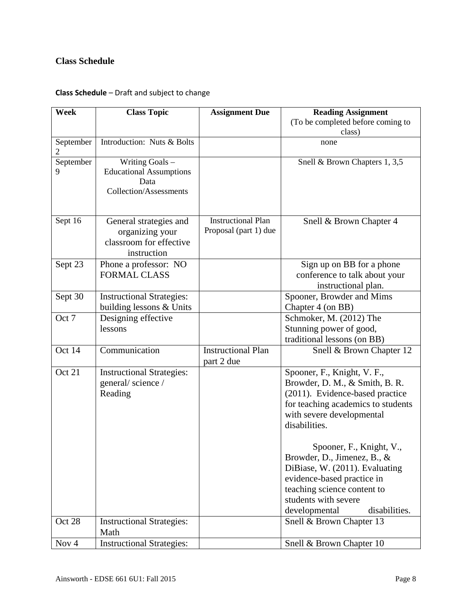# **Class Schedule**

# **Class Schedule** – Draft and subject to change

| Week           | <b>Class Topic</b>                                                                         | <b>Assignment Due</b>                              | <b>Reading Assignment</b>                                                                                                                                                                                        |
|----------------|--------------------------------------------------------------------------------------------|----------------------------------------------------|------------------------------------------------------------------------------------------------------------------------------------------------------------------------------------------------------------------|
|                |                                                                                            |                                                    | (To be completed before coming to<br>class)                                                                                                                                                                      |
| September<br>2 | Introduction: Nuts & Bolts                                                                 |                                                    | none                                                                                                                                                                                                             |
| September<br>9 | Writing Goals -<br><b>Educational Assumptions</b><br>Data<br><b>Collection/Assessments</b> |                                                    | Snell & Brown Chapters 1, 3,5                                                                                                                                                                                    |
| Sept 16        | General strategies and<br>organizing your<br>classroom for effective<br>instruction        | <b>Instructional Plan</b><br>Proposal (part 1) due | Snell & Brown Chapter 4                                                                                                                                                                                          |
| Sept 23        | Phone a professor: NO<br><b>FORMAL CLASS</b>                                               |                                                    | Sign up on BB for a phone<br>conference to talk about your<br>instructional plan.                                                                                                                                |
| Sept 30        | <b>Instructional Strategies:</b><br>building lessons & Units                               |                                                    | Spooner, Browder and Mims<br>Chapter 4 (on BB)                                                                                                                                                                   |
| Oct 7          | Designing effective<br>lessons                                                             |                                                    | Schmoker, M. (2012) The<br>Stunning power of good,<br>traditional lessons (on BB)                                                                                                                                |
| Oct 14         | Communication                                                                              | <b>Instructional Plan</b><br>part 2 due            | Snell & Brown Chapter 12                                                                                                                                                                                         |
| Oct 21         | <b>Instructional Strategies:</b><br>general/science/<br>Reading                            |                                                    | Spooner, F., Knight, V. F.,<br>Browder, D. M., & Smith, B. R.<br>(2011). Evidence-based practice<br>for teaching academics to students<br>with severe developmental<br>disabilities.<br>Spooner, F., Knight, V., |
|                |                                                                                            |                                                    | Browder, D., Jimenez, B., &<br>DiBiase, W. (2011). Evaluating<br>evidence-based practice in<br>teaching science content to<br>students with severe<br>developmental<br>disabilities.                             |
| Oct 28         | <b>Instructional Strategies:</b><br>Math                                                   |                                                    | Snell & Brown Chapter 13                                                                                                                                                                                         |
| Nov 4          | <b>Instructional Strategies:</b>                                                           |                                                    | Snell & Brown Chapter 10                                                                                                                                                                                         |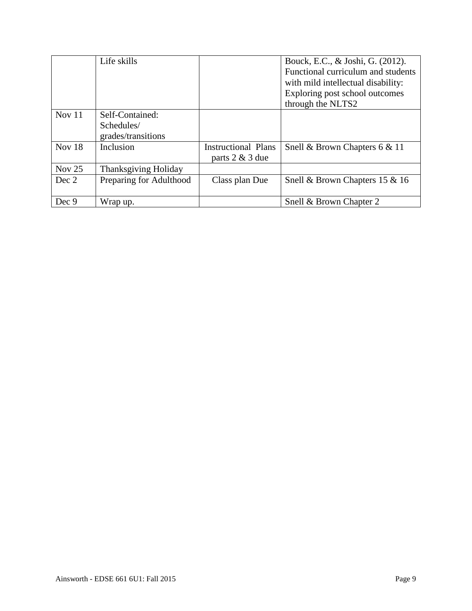|          | Life skills                 |                            | Bouck, E.C., & Joshi, G. (2012).   |
|----------|-----------------------------|----------------------------|------------------------------------|
|          |                             |                            | Functional curriculum and students |
|          |                             |                            | with mild intellectual disability: |
|          |                             |                            | Exploring post school outcomes     |
|          |                             |                            | through the NLTS2                  |
| Nov $11$ | Self-Contained:             |                            |                                    |
|          | Schedules/                  |                            |                                    |
|          | grades/transitions          |                            |                                    |
| Nov $18$ | Inclusion                   | <b>Instructional Plans</b> | Snell & Brown Chapters 6 & 11      |
|          |                             | parts 2 & 3 due            |                                    |
| Nov $25$ | <b>Thanksgiving Holiday</b> |                            |                                    |
| Dec 2    | Preparing for Adulthood     | Class plan Due             | Snell & Brown Chapters 15 & 16     |
|          |                             |                            |                                    |
| Dec 9    | Wrap up.                    |                            | Snell & Brown Chapter 2            |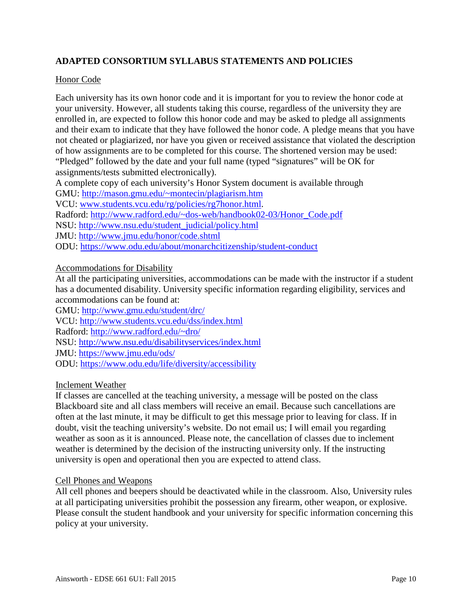# **ADAPTED CONSORTIUM SYLLABUS STATEMENTS AND POLICIES**

### Honor Code

Each university has its own honor code and it is important for you to review the honor code at your university. However, all students taking this course, regardless of the university they are enrolled in, are expected to follow this honor code and may be asked to pledge all assignments and their exam to indicate that they have followed the honor code. A pledge means that you have not cheated or plagiarized, nor have you given or received assistance that violated the description of how assignments are to be completed for this course. The shortened version may be used: "Pledged" followed by the date and your full name (typed "signatures" will be OK for assignments/tests submitted electronically).

A complete copy of each university's Honor System document is available through

GMU:<http://mason.gmu.edu/~montecin/plagiarism.htm>

VCU: [www.students.vcu.edu/rg/policies/rg7honor.html.](http://www.students.vcu.edu/rg/policies/rg7honor.html)

Radford: [http://www.radford.edu/~dos-web/handbook02-03/Honor\\_Code.pdf](http://www.radford.edu/~dos-web/handbook02-03/Honor_Code.pdf)

NSU: [http://www.nsu.edu/student\\_judicial/policy.html](http://www.nsu.edu/student_judicial/policy.html)

JMU:<http://www.jmu.edu/honor/code.shtml>

ODU:<https://www.odu.edu/about/monarchcitizenship/student-conduct>

## Accommodations for Disability

At all the participating universities, accommodations can be made with the instructor if a student has a documented disability. University specific information regarding eligibility, services and accommodations can be found at:

GMU:<http://www.gmu.edu/student/drc/>

VCU:<http://www.students.vcu.edu/dss/index.html>

Radford:<http://www.radford.edu/~dro/>

NSU:<http://www.nsu.edu/disabilityservices/index.html>

JMU:<https://www.jmu.edu/ods/>

ODU:<https://www.odu.edu/life/diversity/accessibility>

#### Inclement Weather

If classes are cancelled at the teaching university, a message will be posted on the class Blackboard site and all class members will receive an email. Because such cancellations are often at the last minute, it may be difficult to get this message prior to leaving for class. If in doubt, visit the teaching university's website. Do not email us; I will email you regarding weather as soon as it is announced. Please note, the cancellation of classes due to inclement weather is determined by the decision of the instructing university only. If the instructing university is open and operational then you are expected to attend class.

#### Cell Phones and Weapons

All cell phones and beepers should be deactivated while in the classroom. Also, University rules at all participating universities prohibit the possession any firearm, other weapon, or explosive. Please consult the student handbook and your university for specific information concerning this policy at your university.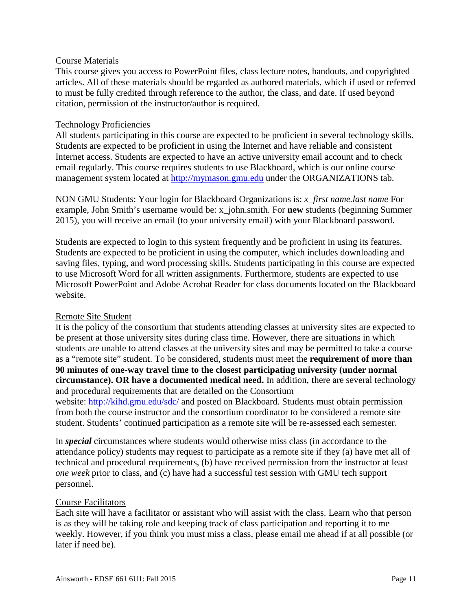#### Course Materials

This course gives you access to PowerPoint files, class lecture notes, handouts, and copyrighted articles. All of these materials should be regarded as authored materials, which if used or referred to must be fully credited through reference to the author, the class, and date. If used beyond citation, permission of the instructor/author is required.

#### Technology Proficiencies

All students participating in this course are expected to be proficient in several technology skills. Students are expected to be proficient in using the Internet and have reliable and consistent Internet access. Students are expected to have an active university email account and to check email regularly. This course requires students to use Blackboard, which is our online course management system located at [http://mymason.gmu.edu](http://mymason.gmu.edu/) under the ORGANIZATIONS tab.

NON GMU Students: Your login for Blackboard Organizations is: *x\_first name.last name* For example, John Smith's username would be: x\_john.smith. For **new** students (beginning Summer 2015), you will receive an email (to your university email) with your Blackboard password.

Students are expected to login to this system frequently and be proficient in using its features. Students are expected to be proficient in using the computer, which includes downloading and saving files, typing, and word processing skills. Students participating in this course are expected to use Microsoft Word for all written assignments. Furthermore, students are expected to use Microsoft PowerPoint and Adobe Acrobat Reader for class documents located on the Blackboard website.

#### Remote Site Student

It is the policy of the consortium that students attending classes at university sites are expected to be present at those university sites during class time. However, there are situations in which students are unable to attend classes at the university sites and may be permitted to take a course as a "remote site" student. To be considered, students must meet the **requirement of more than 90 minutes of one-way travel time to the closest participating university (under normal circumstance). OR have a documented medical need.** In addition, **t**here are several technology and procedural requirements that are detailed on the Consortium

website:<http://kihd.gmu.edu/sdc/> and posted on Blackboard. Students must obtain permission from both the course instructor and the consortium coordinator to be considered a remote site student. Students' continued participation as a remote site will be re-assessed each semester.

In *special* circumstances where students would otherwise miss class (in accordance to the attendance policy) students may request to participate as a remote site if they (a) have met all of technical and procedural requirements, (b) have received permission from the instructor at least *one week* prior to class, and (c) have had a successful test session with GMU tech support personnel.

#### Course Facilitators

Each site will have a facilitator or assistant who will assist with the class. Learn who that person is as they will be taking role and keeping track of class participation and reporting it to me weekly. However, if you think you must miss a class, please email me ahead if at all possible (or later if need be).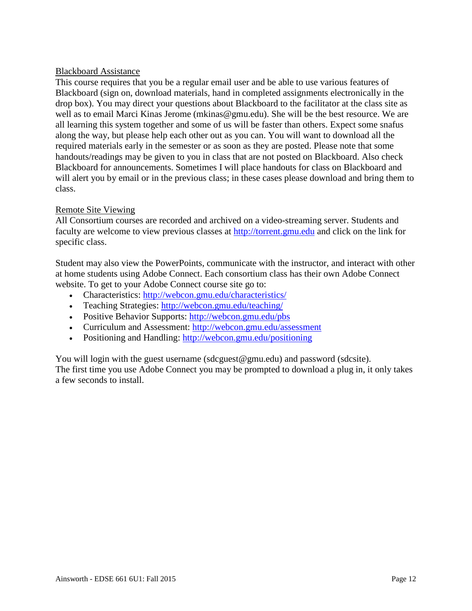### Blackboard Assistance

This course requires that you be a regular email user and be able to use various features of Blackboard (sign on, download materials, hand in completed assignments electronically in the drop box). You may direct your questions about Blackboard to the facilitator at the class site as well as to email Marci Kinas Jerome (mkinas@gmu.edu). She will be the best resource. We are all learning this system together and some of us will be faster than others. Expect some snafus along the way, but please help each other out as you can. You will want to download all the required materials early in the semester or as soon as they are posted. Please note that some handouts/readings may be given to you in class that are not posted on Blackboard. Also check Blackboard for announcements. Sometimes I will place handouts for class on Blackboard and will alert you by email or in the previous class; in these cases please download and bring them to class.

## Remote Site Viewing

All Consortium courses are recorded and archived on a video-streaming server. Students and faculty are welcome to view previous classes at [http://torrent.gmu.edu](http://torrent.gmu.edu/) and click on the link for specific class.

Student may also view the PowerPoints, communicate with the instructor, and interact with other at home students using Adobe Connect. Each consortium class has their own Adobe Connect website. To get to your Adobe Connect course site go to:

- Characteristics:<http://webcon.gmu.edu/characteristics/>
- Teaching Strategies:<http://webcon.gmu.edu/teaching/>
- Positive Behavior Supports: http://webcon.gmu.edu/pbs
- Curriculum and Assessment:<http://webcon.gmu.edu/assessment>
- Positioning and Handling: http://webcon.gmu.edu/positioning

You will login with the guest username (sdcguest@gmu.edu) and password (sdcsite). The first time you use Adobe Connect you may be prompted to download a plug in, it only takes a few seconds to install.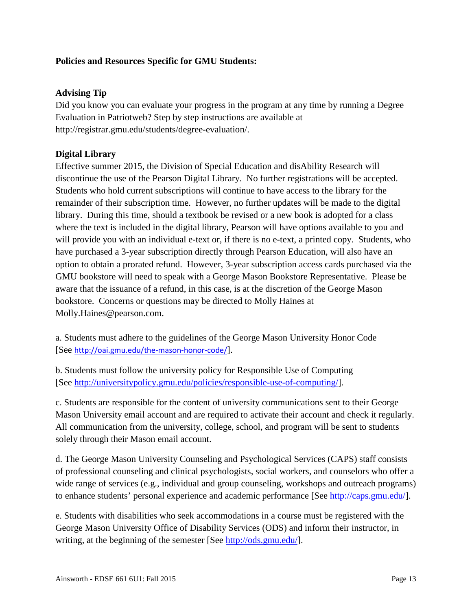## **Policies and Resources Specific for GMU Students:**

## **Advising Tip**

Did you know you can evaluate your progress in the program at any time by running a Degree Evaluation in Patriotweb? Step by step instructions are available at http://registrar.gmu.edu/students/degree-evaluation/.

## **Digital Library**

Effective summer 2015, the Division of Special Education and disAbility Research will discontinue the use of the Pearson Digital Library. No further registrations will be accepted. Students who hold current subscriptions will continue to have access to the library for the remainder of their subscription time. However, no further updates will be made to the digital library. During this time, should a textbook be revised or a new book is adopted for a class where the text is included in the digital library, Pearson will have options available to you and will provide you with an individual e-text or, if there is no e-text, a printed copy. Students, who have purchased a 3-year subscription directly through Pearson Education, will also have an option to obtain a prorated refund. However, 3-year subscription access cards purchased via the GMU bookstore will need to speak with a George Mason Bookstore Representative. Please be aware that the issuance of a refund, in this case, is at the discretion of the George Mason bookstore. Concerns or questions may be directed to Molly Haines at Molly.Haines@pearson.com.

a. Students must adhere to the guidelines of the George Mason University Honor Code [See <http://oai.gmu.edu/the-mason-honor-code/>].

b. Students must follow the university policy for Responsible Use of Computing [See [http://universitypolicy.gmu.edu/policies/responsible-use-of-computing/\]](http://universitypolicy.gmu.edu/policies/responsible-use-of-computing/).

c. Students are responsible for the content of university communications sent to their George Mason University email account and are required to activate their account and check it regularly. All communication from the university, college, school, and program will be sent to students solely through their Mason email account.

d. The George Mason University Counseling and Psychological Services (CAPS) staff consists of professional counseling and clinical psychologists, social workers, and counselors who offer a wide range of services (e.g., individual and group counseling, workshops and outreach programs) to enhance students' personal experience and academic performance [See [http://caps.gmu.edu/\]](http://caps.gmu.edu/).

e. Students with disabilities who seek accommodations in a course must be registered with the George Mason University Office of Disability Services (ODS) and inform their instructor, in writing, at the beginning of the semester [See [http://ods.gmu.edu/\]](http://ods.gmu.edu/).